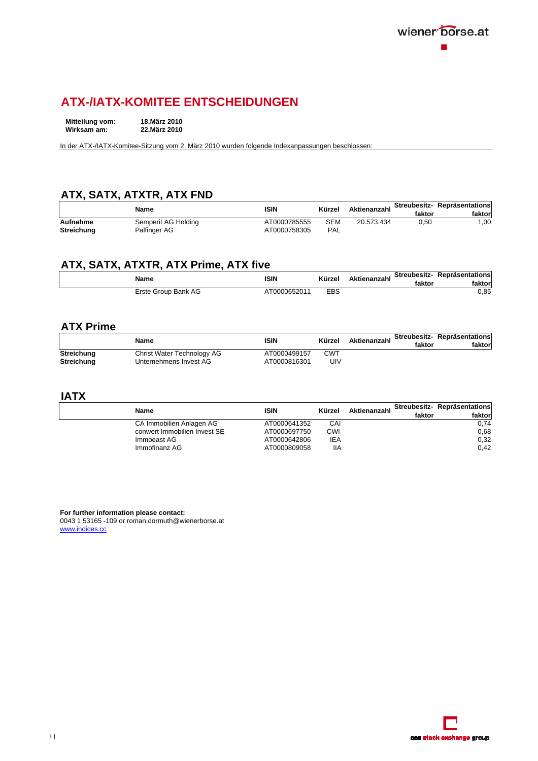## **ATX-/IATX-KOMITEE ENTSCHEIDUNGEN**

**Mitteilung vom: 18.März 2010 Wirksam am:** 

In der ATX-/IATX-Komitee-Sitzung vom 2. März 2010 wurden folgende Indexanpassungen beschlossen:

## **ATX, SATX, ATXTR, ATX FND**

|            | Name                | ISIN         | Kürzel | Aktienanzahl | faktor | Streubesitz- Repräsentations<br>faktorl |
|------------|---------------------|--------------|--------|--------------|--------|-----------------------------------------|
| Aufnahme   | Semperit AG Holding | AT0000785555 | SEM    | 20.573.434   | 0.50   | .00.                                    |
| Streichung | Palfinger AG        | AT0000758305 | PAL    |              |        |                                         |

## **ATX, SATX, ATXTR, ATX Prime, ATX five**

| Name                | ISIN        | Kürzel | Aktienanzahl | faktor | Streubesitz- Repräsentations<br>faktor |
|---------------------|-------------|--------|--------------|--------|----------------------------------------|
| Erste Group Bank AG | T0000652011 | EBS    |              |        | 0,85                                   |

#### **ATX Prime**

|                   | Name                       | ISIN         | Kürzel     | Aktienanzahl | faktor | Streubesitz- Repräsentations<br>faktorl |
|-------------------|----------------------------|--------------|------------|--------------|--------|-----------------------------------------|
| <b>Streichung</b> | Christ Water Technology AG | AT0000499157 | <b>CWT</b> |              |        |                                         |
| <b>Streichung</b> | Unternehmens Invest AG     | AT0000816301 | UIV        |              |        |                                         |

#### **IATX**

| Name                         | <b>ISIN</b>  | Kürzel     | Aktienanzahl | faktor | Streubesitz- Repräsentations<br>faktorl |
|------------------------------|--------------|------------|--------------|--------|-----------------------------------------|
| CA Immobilien Anlagen AG     | AT0000641352 | CAI        |              |        | 0.74                                    |
| conwert Immobilien Invest SE | AT0000697750 | CWI        |              |        | 0.68                                    |
| Immoeast AG                  | AT0000642806 | <b>IEA</b> |              |        | 0,32                                    |
| Immofinanz AG                | AT0000809058 | IIA        |              |        | 0.42                                    |

**For further information please contact:**

0043 1 53165 -109 or roman.dormuth@wienerborse.at www.indices.cc